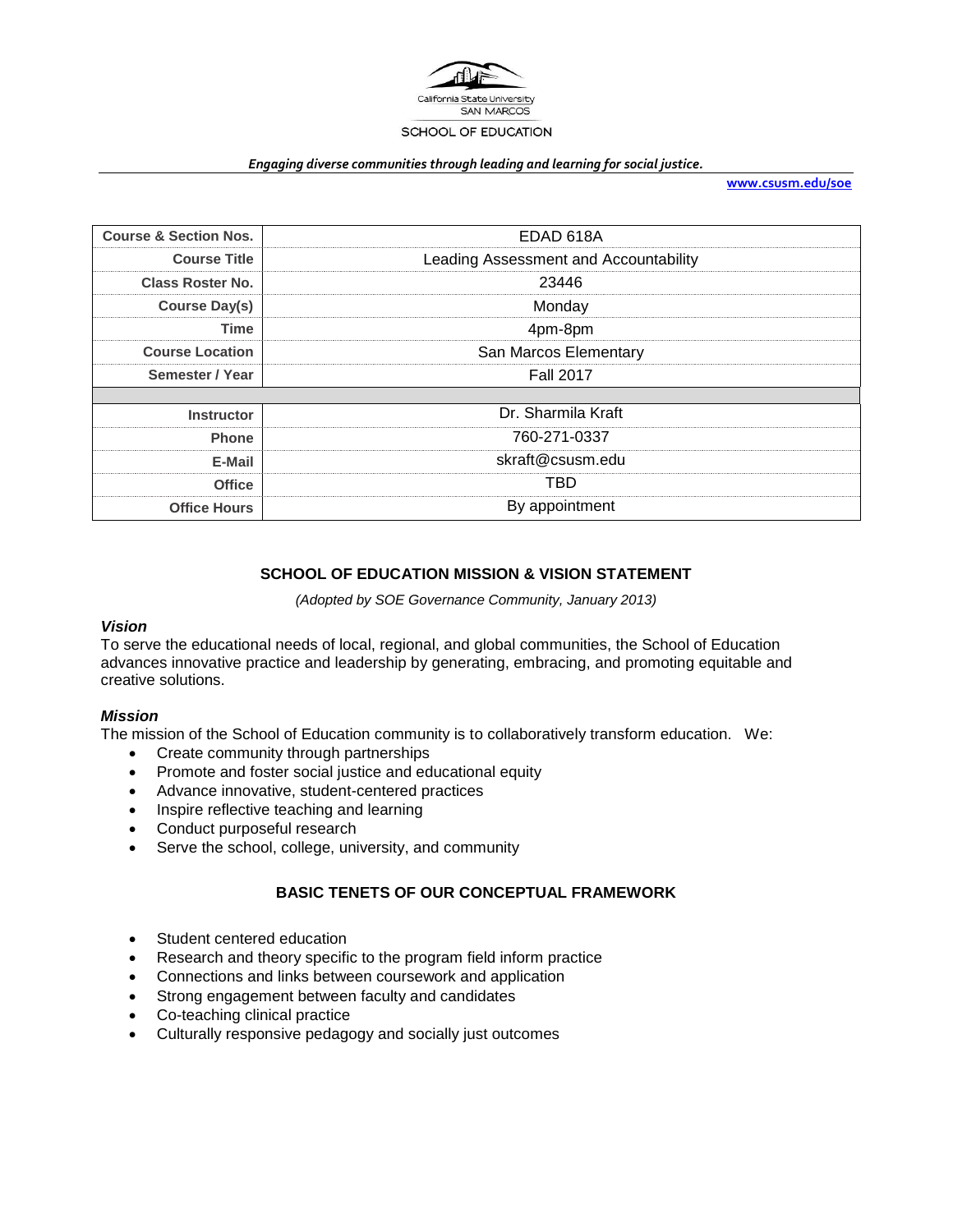

#### *Engaging diverse communities through leading and learning for social justice.*

**[www.csusm.edu/soe](http://www.csusm.edu/soe)**

| <b>Course &amp; Section Nos.</b> | EDAD 618A                             |  |
|----------------------------------|---------------------------------------|--|
| <b>Course Title</b>              | Leading Assessment and Accountability |  |
| <b>Class Roster No.</b>          | 23446                                 |  |
| <b>Course Day(s)</b>             | Monday                                |  |
| <b>Time</b>                      | 4pm-8pm                               |  |
| <b>Course Location</b>           | San Marcos Elementary                 |  |
| Semester / Year                  | <b>Fall 2017</b>                      |  |
|                                  |                                       |  |
| <b>Instructor</b>                | Dr. Sharmila Kraft                    |  |
| <b>Phone</b>                     | 760-271-0337                          |  |
| E-Mail                           | skraft@csusm.edu                      |  |
| <b>Office</b>                    | TBD                                   |  |
| <b>Office Hours</b>              | By appointment                        |  |

# **SCHOOL OF EDUCATION MISSION & VISION STATEMENT**

*(Adopted by SOE Governance Community, January 2013)*

### *Vision*

To serve the educational needs of local, regional, and global communities, the School of Education advances innovative practice and leadership by generating, embracing, and promoting equitable and creative solutions.

#### *Mission*

The mission of the School of Education community is to collaboratively transform education. We:

- Create community through partnerships
- Promote and foster social justice and educational equity
- Advance innovative, student-centered practices
- Inspire reflective teaching and learning
- Conduct purposeful research
- Serve the school, college, university, and community

# **BASIC TENETS OF OUR CONCEPTUAL FRAMEWORK**

- Student centered education
- Research and theory specific to the program field inform practice
- Connections and links between coursework and application
- Strong engagement between faculty and candidates
- Co-teaching clinical practice
- Culturally responsive pedagogy and socially just outcomes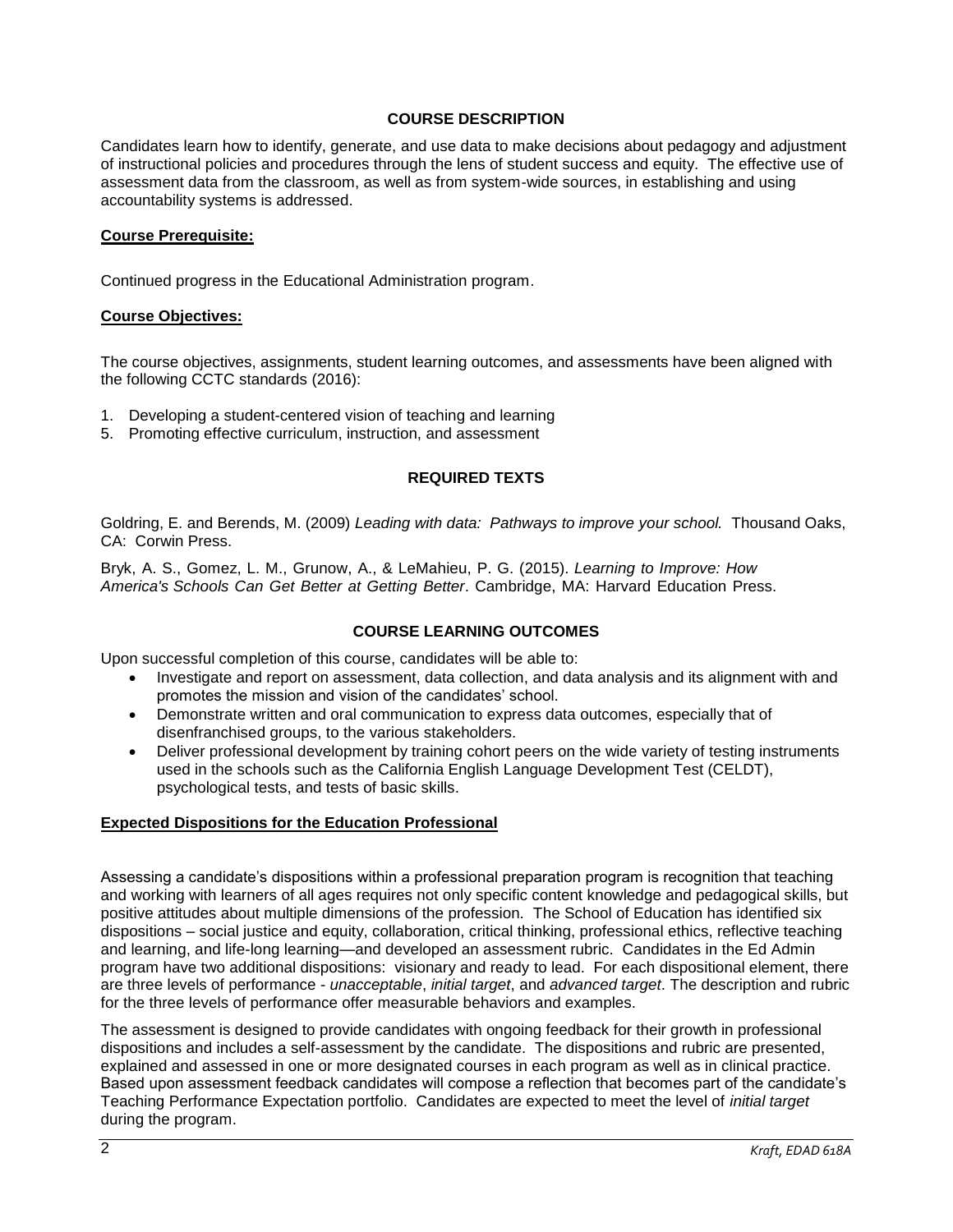### **COURSE DESCRIPTION**

Candidates learn how to identify, generate, and use data to make decisions about pedagogy and adjustment of instructional policies and procedures through the lens of student success and equity. The effective use of assessment data from the classroom, as well as from system-wide sources, in establishing and using accountability systems is addressed.

#### **Course Prerequisite:**

Continued progress in the Educational Administration program.

#### **Course Objectives:**

The course objectives, assignments, student learning outcomes, and assessments have been aligned with the following CCTC standards (2016):

- 1. Developing a student-centered vision of teaching and learning
- 5. Promoting effective curriculum, instruction, and assessment

### **REQUIRED TEXTS**

Goldring, E. and Berends, M. (2009) *Leading with data: Pathways to improve your school.* Thousand Oaks, CA: Corwin Press.

Bryk, A. S., Gomez, L. M., Grunow, A., & LeMahieu, P. G. (2015). *Learning to Improve: How America's Schools Can Get Better at Getting Better*. Cambridge, MA: Harvard Education Press.

#### **COURSE LEARNING OUTCOMES**

Upon successful completion of this course, candidates will be able to:

- Investigate and report on assessment, data collection, and data analysis and its alignment with and promotes the mission and vision of the candidates' school.
- Demonstrate written and oral communication to express data outcomes, especially that of disenfranchised groups, to the various stakeholders.
- Deliver professional development by training cohort peers on the wide variety of testing instruments used in the schools such as the California English Language Development Test (CELDT), psychological tests, and tests of basic skills.

#### **Expected Dispositions for the Education Professional**

Assessing a candidate's dispositions within a professional preparation program is recognition that teaching and working with learners of all ages requires not only specific content knowledge and pedagogical skills, but positive attitudes about multiple dimensions of the profession. The School of Education has identified six dispositions – social justice and equity, collaboration, critical thinking, professional ethics, reflective teaching and learning, and life-long learning—and developed an assessment rubric. Candidates in the Ed Admin program have two additional dispositions: visionary and ready to lead. For each dispositional element, there are three levels of performance - *unacceptable*, *initial target*, and *advanced target*. The description and rubric for the three levels of performance offer measurable behaviors and examples.

The assessment is designed to provide candidates with ongoing feedback for their growth in professional dispositions and includes a self-assessment by the candidate. The dispositions and rubric are presented, explained and assessed in one or more designated courses in each program as well as in clinical practice. Based upon assessment feedback candidates will compose a reflection that becomes part of the candidate's Teaching Performance Expectation portfolio. Candidates are expected to meet the level of *initial target* during the program.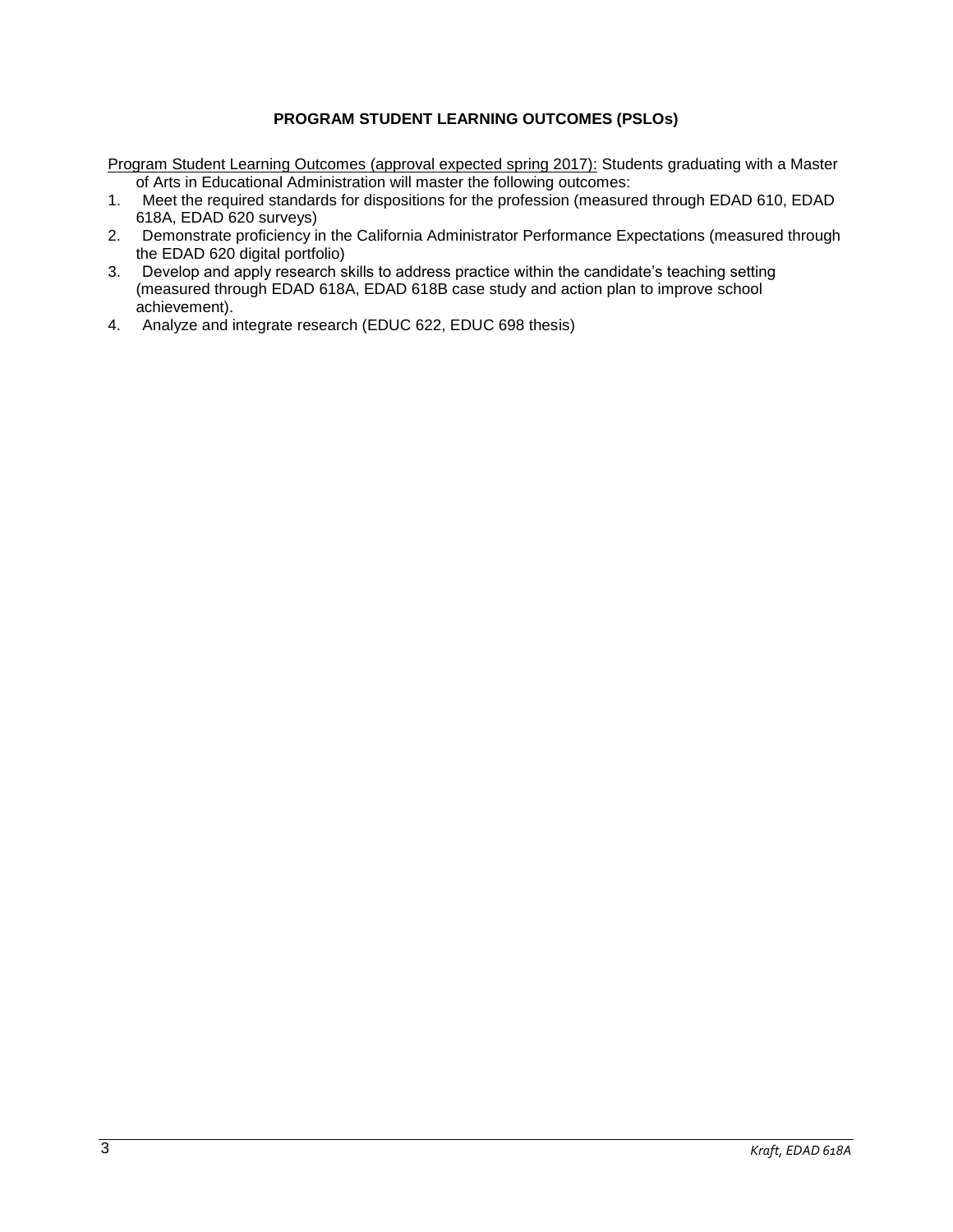# **PROGRAM STUDENT LEARNING OUTCOMES (PSLOs)**

Program Student Learning Outcomes (approval expected spring 2017): Students graduating with a Master of Arts in Educational Administration will master the following outcomes:

- 1. Meet the required standards for dispositions for the profession (measured through EDAD 610, EDAD 618A, EDAD 620 surveys)
- 2. Demonstrate proficiency in the California Administrator Performance Expectations (measured through the EDAD 620 digital portfolio)
- 3. Develop and apply research skills to address practice within the candidate's teaching setting (measured through EDAD 618A, EDAD 618B case study and action plan to improve school achievement).
- 4. Analyze and integrate research (EDUC 622, EDUC 698 thesis)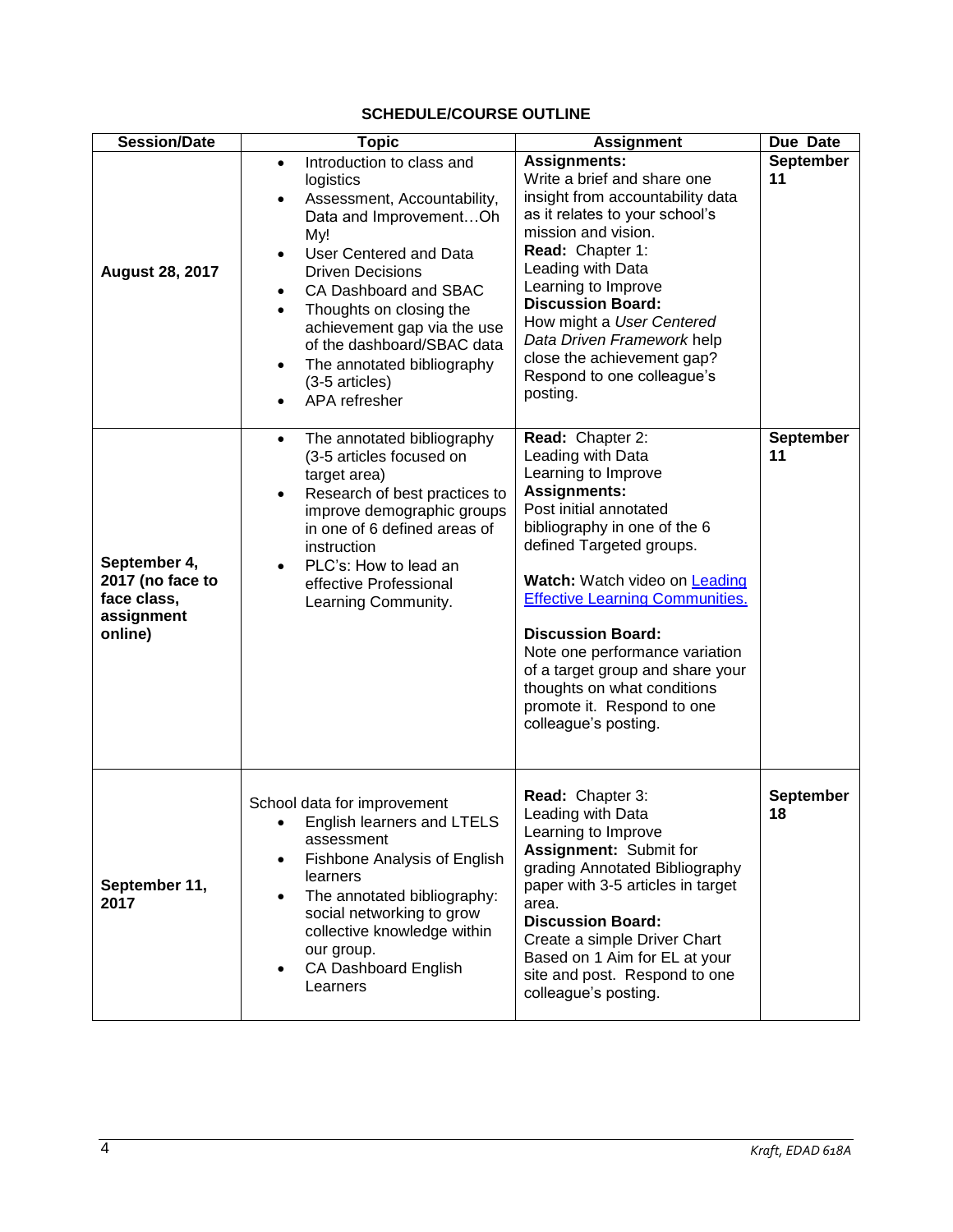# **SCHEDULE/COURSE OUTLINE**

| <b>Session/Date</b>                                                      | <b>Topic</b>                                                                                                                                                                                                                                                                                                                                                                                                                | <b>Assignment</b>                                                                                                                                                                                                                                                                                                                                                                                                                           | Due Date               |
|--------------------------------------------------------------------------|-----------------------------------------------------------------------------------------------------------------------------------------------------------------------------------------------------------------------------------------------------------------------------------------------------------------------------------------------------------------------------------------------------------------------------|---------------------------------------------------------------------------------------------------------------------------------------------------------------------------------------------------------------------------------------------------------------------------------------------------------------------------------------------------------------------------------------------------------------------------------------------|------------------------|
| <b>August 28, 2017</b>                                                   | Introduction to class and<br>$\bullet$<br>logistics<br>Assessment, Accountability,<br>$\bullet$<br>Data and ImprovementOh<br>My!<br>User Centered and Data<br>$\bullet$<br><b>Driven Decisions</b><br>CA Dashboard and SBAC<br>$\bullet$<br>Thoughts on closing the<br>achievement gap via the use<br>of the dashboard/SBAC data<br>The annotated bibliography<br>$\bullet$<br>(3-5 articles)<br>APA refresher<br>$\bullet$ | <b>Assignments:</b><br>Write a brief and share one<br>insight from accountability data<br>as it relates to your school's<br>mission and vision.<br>Read: Chapter 1:<br>Leading with Data<br>Learning to Improve<br><b>Discussion Board:</b><br>How might a User Centered<br>Data Driven Framework help<br>close the achievement gap?<br>Respond to one colleague's<br>posting.                                                              | <b>September</b><br>11 |
| September 4,<br>2017 (no face to<br>face class,<br>assignment<br>online) | The annotated bibliography<br>$\bullet$<br>(3-5 articles focused on<br>target area)<br>Research of best practices to<br>$\bullet$<br>improve demographic groups<br>in one of 6 defined areas of<br>instruction<br>PLC's: How to lead an<br>$\bullet$<br>effective Professional<br>Learning Community.                                                                                                                       | Read: Chapter 2:<br>Leading with Data<br>Learning to Improve<br><b>Assignments:</b><br>Post initial annotated<br>bibliography in one of the 6<br>defined Targeted groups.<br>Watch: Watch video on Leading<br><b>Effective Learning Communities.</b><br><b>Discussion Board:</b><br>Note one performance variation<br>of a target group and share your<br>thoughts on what conditions<br>promote it. Respond to one<br>colleague's posting. | September<br>11        |
| September 11,<br>2017                                                    | School data for improvement<br>English learners and LTELS<br>assessment<br><b>Fishbone Analysis of English</b><br>٠<br>learners<br>The annotated bibliography:<br>$\bullet$<br>social networking to grow<br>collective knowledge within<br>our group.<br>CA Dashboard English<br>$\bullet$<br>Learners                                                                                                                      | Read: Chapter 3:<br>Leading with Data<br>Learning to Improve<br>Assignment: Submit for<br>grading Annotated Bibliography<br>paper with 3-5 articles in target<br>area.<br><b>Discussion Board:</b><br>Create a simple Driver Chart<br>Based on 1 Aim for EL at your<br>site and post. Respond to one<br>colleague's posting.                                                                                                                | <b>September</b><br>18 |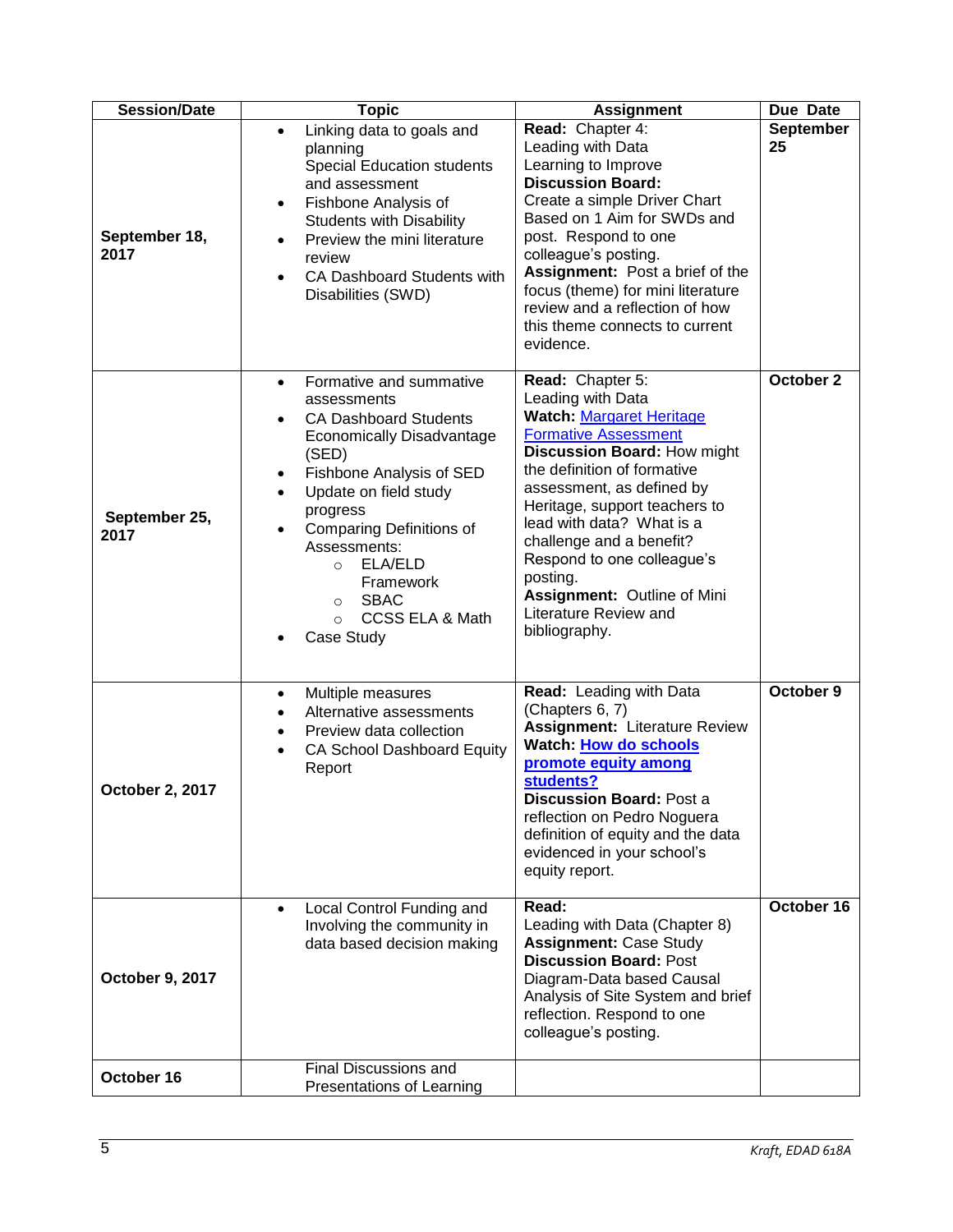| <b>Session/Date</b>    | <b>Topic</b>                                                                                                                                                                                                                                                                                                                                                                                                       | <b>Assignment</b>                                                                                                                                                                                                                                                                                                                                                                                               | Due Date               |
|------------------------|--------------------------------------------------------------------------------------------------------------------------------------------------------------------------------------------------------------------------------------------------------------------------------------------------------------------------------------------------------------------------------------------------------------------|-----------------------------------------------------------------------------------------------------------------------------------------------------------------------------------------------------------------------------------------------------------------------------------------------------------------------------------------------------------------------------------------------------------------|------------------------|
| September 18,<br>2017  | Linking data to goals and<br>$\bullet$<br>planning<br><b>Special Education students</b><br>and assessment<br>Fishbone Analysis of<br>$\bullet$<br><b>Students with Disability</b><br>Preview the mini literature<br>$\bullet$<br>review<br><b>CA Dashboard Students with</b><br>$\bullet$<br>Disabilities (SWD)                                                                                                    | Read: Chapter 4:<br>Leading with Data<br>Learning to Improve<br><b>Discussion Board:</b><br>Create a simple Driver Chart<br>Based on 1 Aim for SWDs and<br>post. Respond to one<br>colleague's posting.<br>Assignment: Post a brief of the<br>focus (theme) for mini literature<br>review and a reflection of how<br>this theme connects to current<br>evidence.                                                | <b>September</b><br>25 |
| September 25,<br>2017  | Formative and summative<br>$\bullet$<br>assessments<br><b>CA Dashboard Students</b><br>$\bullet$<br><b>Economically Disadvantage</b><br>(SED)<br>Fishbone Analysis of SED<br>$\bullet$<br>Update on field study<br>$\bullet$<br>progress<br><b>Comparing Definitions of</b><br>$\bullet$<br>Assessments:<br>ELA/ELD<br>$\circ$<br>Framework<br><b>SBAC</b><br>$\circ$<br>CCSS ELA & Math<br>$\Omega$<br>Case Study | Read: Chapter 5:<br>Leading with Data<br><b>Watch: Margaret Heritage</b><br><b>Formative Assessment</b><br>Discussion Board: How might<br>the definition of formative<br>assessment, as defined by<br>Heritage, support teachers to<br>lead with data? What is a<br>challenge and a benefit?<br>Respond to one colleague's<br>posting.<br>Assignment: Outline of Mini<br>Literature Review and<br>bibliography. | October 2              |
| <b>October 2, 2017</b> | Multiple measures<br>$\bullet$<br>Alternative assessments<br>Preview data collection<br><b>CA School Dashboard Equity</b><br>$\bullet$<br>Report                                                                                                                                                                                                                                                                   | Read: Leading with Data<br>(Chapters 6, 7)<br><b>Assignment: Literature Review</b><br>Watch: How do schools<br>promote equity among<br>students?<br><b>Discussion Board: Post a</b><br>reflection on Pedro Noguera<br>definition of equity and the data<br>evidenced in your school's<br>equity report.                                                                                                         | October 9              |
| October 9, 2017        | Local Control Funding and<br>$\bullet$<br>Involving the community in<br>data based decision making                                                                                                                                                                                                                                                                                                                 | Read:<br>Leading with Data (Chapter 8)<br><b>Assignment: Case Study</b><br><b>Discussion Board: Post</b><br>Diagram-Data based Causal<br>Analysis of Site System and brief<br>reflection. Respond to one<br>colleague's posting.                                                                                                                                                                                | October 16             |
| October 16             | <b>Final Discussions and</b><br>Presentations of Learning                                                                                                                                                                                                                                                                                                                                                          |                                                                                                                                                                                                                                                                                                                                                                                                                 |                        |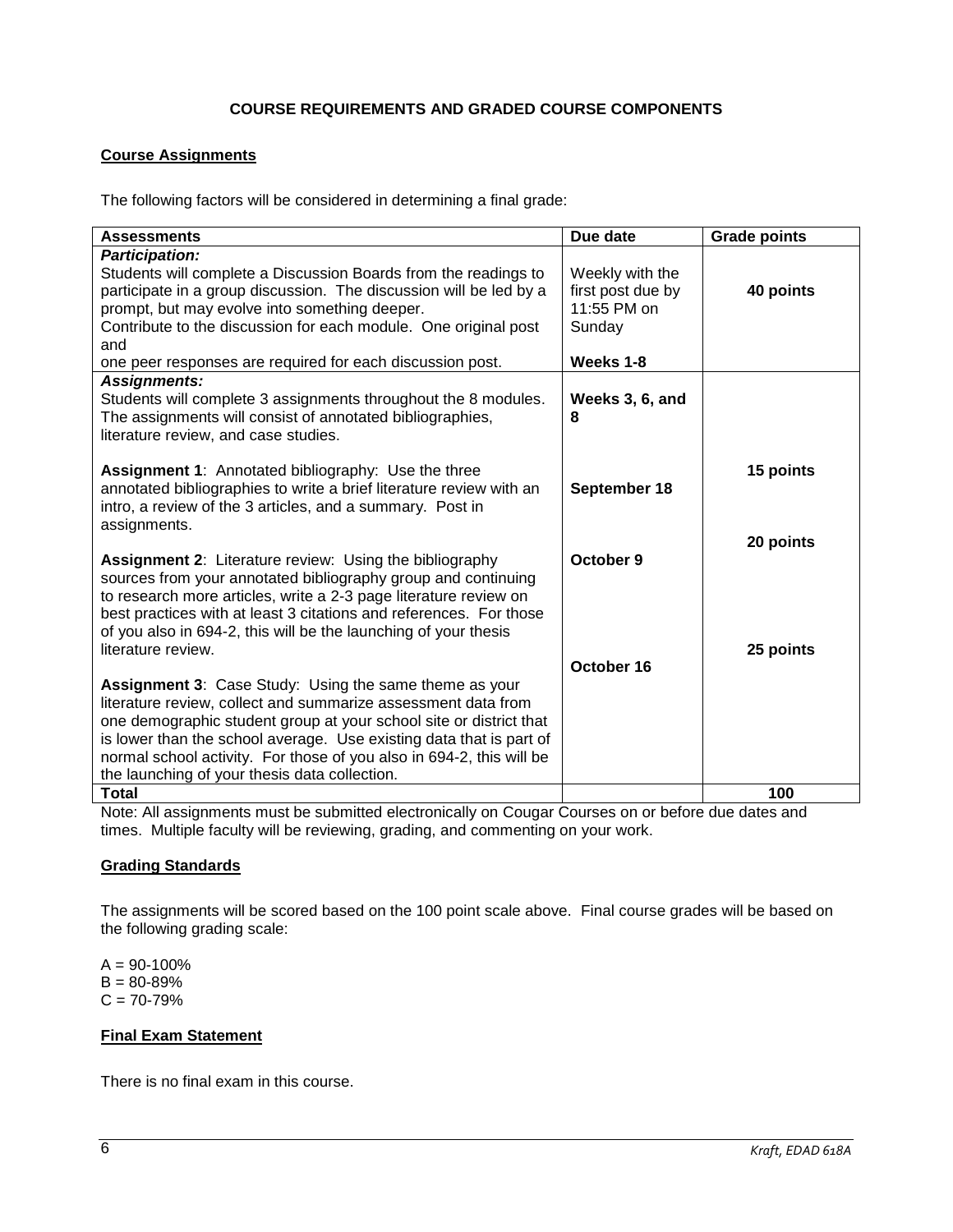# **COURSE REQUIREMENTS AND GRADED COURSE COMPONENTS**

# **Course Assignments**

The following factors will be considered in determining a final grade:

| <b>Assessments</b>                                                                                                                                                                                                                                                                                                                                                                                   | Due date                                                      | <b>Grade points</b>    |
|------------------------------------------------------------------------------------------------------------------------------------------------------------------------------------------------------------------------------------------------------------------------------------------------------------------------------------------------------------------------------------------------------|---------------------------------------------------------------|------------------------|
| <b>Participation:</b><br>Students will complete a Discussion Boards from the readings to<br>participate in a group discussion. The discussion will be led by a<br>prompt, but may evolve into something deeper.<br>Contribute to the discussion for each module. One original post<br>and                                                                                                            | Weekly with the<br>first post due by<br>11:55 PM on<br>Sunday | 40 points              |
| one peer responses are required for each discussion post.                                                                                                                                                                                                                                                                                                                                            | Weeks 1-8                                                     |                        |
| <b>Assignments:</b><br>Students will complete 3 assignments throughout the 8 modules.<br>The assignments will consist of annotated bibliographies,<br>literature review, and case studies.                                                                                                                                                                                                           | Weeks 3, 6, and<br>8                                          |                        |
| <b>Assignment 1:</b> Annotated bibliography: Use the three<br>annotated bibliographies to write a brief literature review with an<br>intro, a review of the 3 articles, and a summary. Post in<br>assignments.                                                                                                                                                                                       | September 18                                                  | 15 points              |
| <b>Assignment 2: Literature review: Using the bibliography</b><br>sources from your annotated bibliography group and continuing<br>to research more articles, write a 2-3 page literature review on<br>best practices with at least 3 citations and references. For those<br>of you also in 694-2, this will be the launching of your thesis<br>literature review.                                   | October 9                                                     | 20 points<br>25 points |
|                                                                                                                                                                                                                                                                                                                                                                                                      | October 16                                                    |                        |
| <b>Assignment 3: Case Study: Using the same theme as your</b><br>literature review, collect and summarize assessment data from<br>one demographic student group at your school site or district that<br>is lower than the school average. Use existing data that is part of<br>normal school activity. For those of you also in 694-2, this will be<br>the launching of your thesis data collection. |                                                               |                        |
| <b>Total</b>                                                                                                                                                                                                                                                                                                                                                                                         |                                                               | 100                    |

Note: All assignments must be submitted electronically on Cougar Courses on or before due dates and times. Multiple faculty will be reviewing, grading, and commenting on your work.

#### **Grading Standards**

The assignments will be scored based on the 100 point scale above. Final course grades will be based on the following grading scale:

 $A = 90 - 100%$  $B = 80 - 89%$  $C = 70 - 79%$ 

### **Final Exam Statement**

There is no final exam in this course.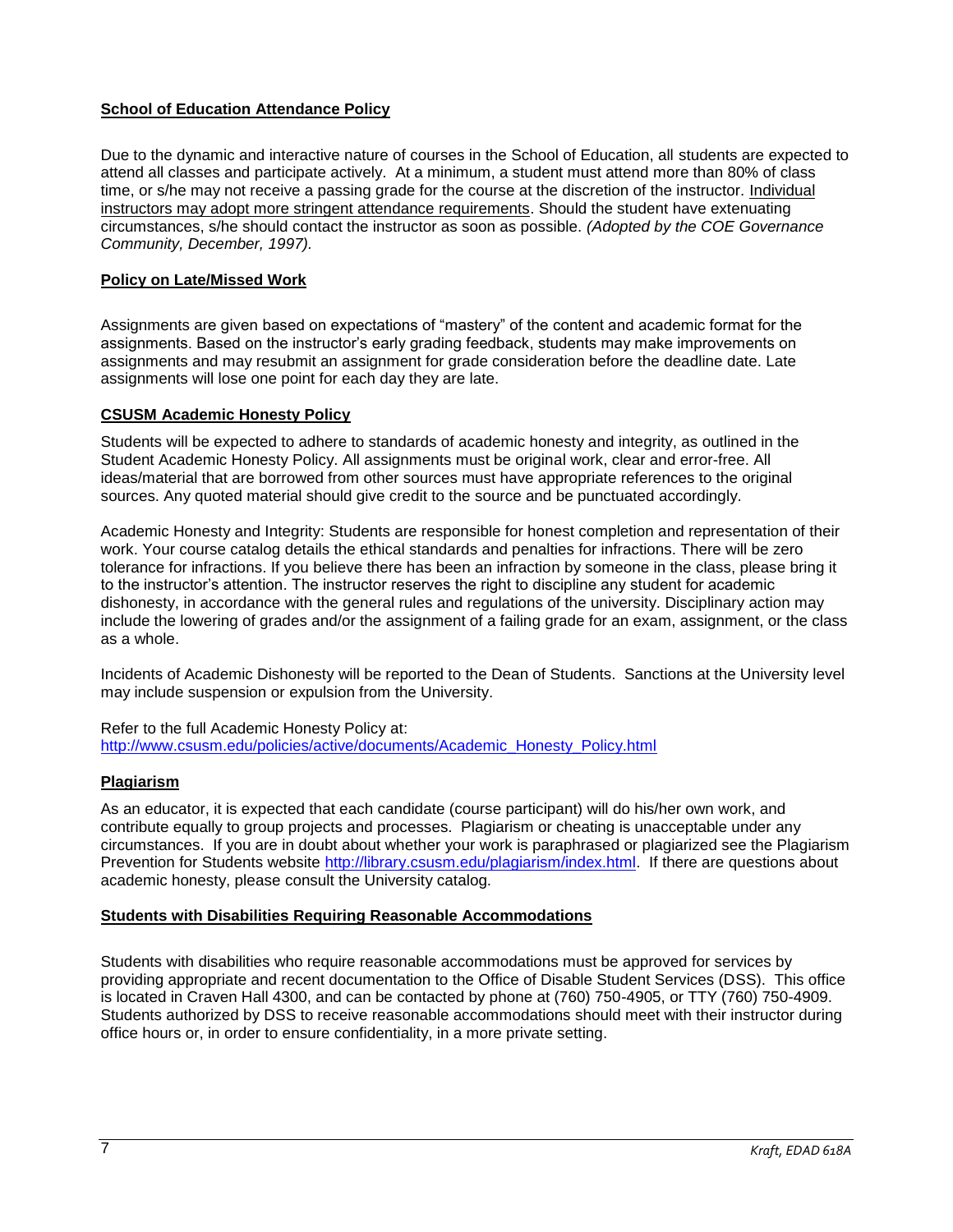# **School of Education Attendance Policy**

Due to the dynamic and interactive nature of courses in the School of Education, all students are expected to attend all classes and participate actively. At a minimum, a student must attend more than 80% of class time, or s/he may not receive a passing grade for the course at the discretion of the instructor. Individual instructors may adopt more stringent attendance requirements. Should the student have extenuating circumstances, s/he should contact the instructor as soon as possible. *(Adopted by the COE Governance Community, December, 1997).* 

# **Policy on Late/Missed Work**

Assignments are given based on expectations of "mastery" of the content and academic format for the assignments. Based on the instructor's early grading feedback, students may make improvements on assignments and may resubmit an assignment for grade consideration before the deadline date. Late assignments will lose one point for each day they are late.

# **CSUSM Academic Honesty Policy**

Students will be expected to adhere to standards of academic honesty and integrity, as outlined in the Student Academic Honesty Policy. All assignments must be original work, clear and error-free. All ideas/material that are borrowed from other sources must have appropriate references to the original sources. Any quoted material should give credit to the source and be punctuated accordingly.

Academic Honesty and Integrity: Students are responsible for honest completion and representation of their work. Your course catalog details the ethical standards and penalties for infractions. There will be zero tolerance for infractions. If you believe there has been an infraction by someone in the class, please bring it to the instructor's attention. The instructor reserves the right to discipline any student for academic dishonesty, in accordance with the general rules and regulations of the university. Disciplinary action may include the lowering of grades and/or the assignment of a failing grade for an exam, assignment, or the class as a whole.

Incidents of Academic Dishonesty will be reported to the Dean of Students. Sanctions at the University level may include suspension or expulsion from the University.

Refer to the full Academic Honesty Policy at: [http://www.csusm.edu/policies/active/documents/Academic\\_Honesty\\_Policy.html](http://www.csusm.edu/policies/active/documents/Academic_Honesty_Policy.html)

# **Plagiarism**

As an educator, it is expected that each candidate (course participant) will do his/her own work, and contribute equally to group projects and processes. Plagiarism or cheating is unacceptable under any circumstances. If you are in doubt about whether your work is paraphrased or plagiarized see the Plagiarism Prevention for Students website [http://library.csusm.edu/plagiarism/index.html.](http://library.csusm.edu/plagiarism/index.html) If there are questions about academic honesty, please consult the University catalog.

# **Students with Disabilities Requiring Reasonable Accommodations**

Students with disabilities who require reasonable accommodations must be approved for services by providing appropriate and recent documentation to the Office of Disable Student Services (DSS). This office is located in Craven Hall 4300, and can be contacted by phone at (760) 750-4905, or TTY (760) 750-4909. Students authorized by DSS to receive reasonable accommodations should meet with their instructor during office hours or, in order to ensure confidentiality, in a more private setting.